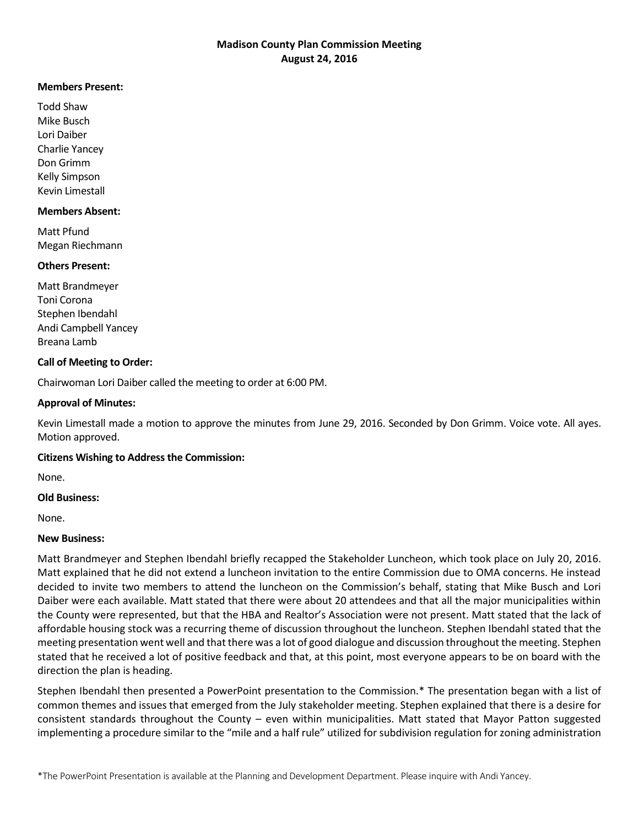# **Madison County Plan Commission Meeting August 24, 2016**

#### **Members Present:**

Todd Shaw Mike Busch Lori Daiber Charlie Yancey Don Grimm Kelly Simpson Kevin Limestall

#### **Members Absent:**

Matt Pfund Megan Riechmann

## **Others Present:**

Matt Brandmeyer Toni Corona Stephen Ibendahl Andi Campbell Yancey Breana Lamb

## **Call of Meeting to Order:**

Chairwoman Lori Daiber called the meeting to order at 6:00 PM.

## **Approval of Minutes:**

Kevin Limestall made a motion to approve the minutes from June 29, 2016. Seconded by Don Grimm. Voice vote. All ayes. Motion approved.

#### **Citizens Wishing to Address the Commission:**

None.

#### **Old Business:**

None.

# **New Business:**

Matt Brandmeyer and Stephen Ibendahl briefly recapped the Stakeholder Luncheon, which took place on July 20, 2016. Matt explained that he did not extend a luncheon invitation to the entire Commission due to OMA concerns. He instead decided to invite two members to attend the luncheon on the Commission's behalf, stating that Mike Busch and Lori Daiber were each available. Matt stated that there were about 20 attendees and that all the major municipalities within the County were represented, but that the HBA and Realtor's Association were not present. Matt stated that the lack of affordable housing stock was a recurring theme of discussion throughout the luncheon. Stephen Ibendahl stated that the meeting presentation went well and that there was a lot of good dialogue and discussion throughout the meeting. Stephen stated that he received a lot of positive feedback and that, at this point, most everyone appears to be on board with the direction the plan is heading.

Stephen Ibendahl then presented a PowerPoint presentation to the Commission.\* The presentation began with a list of common themes and issues that emerged from the July stakeholder meeting. Stephen explained that there is a desire for consistent standards throughout the County – even within municipalities. Matt stated that Mayor Patton suggested implementing a procedure similar to the "mile and a half rule" utilized for subdivision regulation for zoning administration